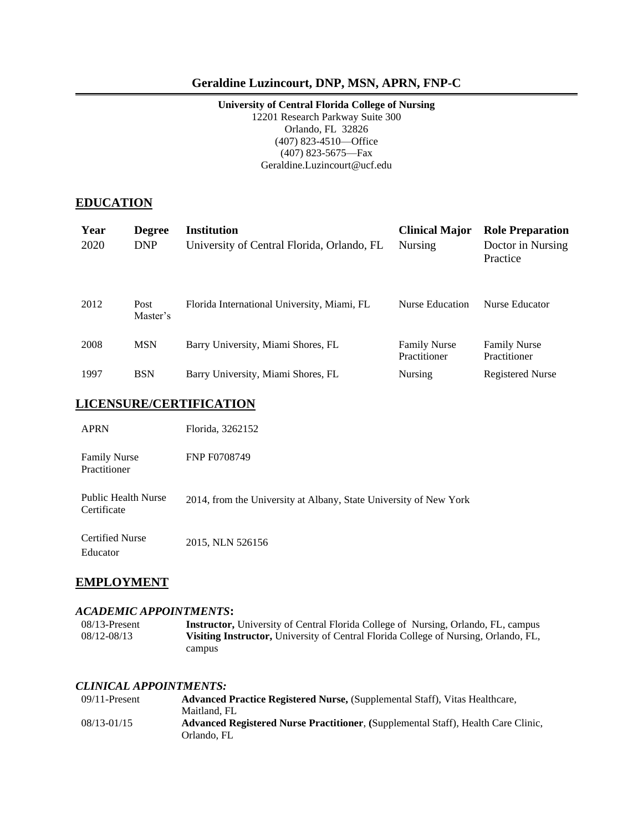### **Geraldine Luzincourt, DNP, MSN, APRN, FNP-C**

#### **University of Central Florida College of Nursing** 12201 Research Parkway Suite 300

Orlando, FL 32826 (407) 823-4510—Office (407) 823-5675—Fax Geraldine.Luzincourt@ucf.edu

#### **EDUCATION**

| Year<br>2020 | <b>Degree</b><br><b>DNP</b> | <b>Institution</b><br>University of Central Florida, Orlando, FL | <b>Clinical Major</b><br><b>Nursing</b> | <b>Role Preparation</b><br>Doctor in Nursing<br>Practice |
|--------------|-----------------------------|------------------------------------------------------------------|-----------------------------------------|----------------------------------------------------------|
| 2012         | Post<br>Master's            | Florida International University, Miami, FL                      | Nurse Education                         | Nurse Educator                                           |
| 2008         | <b>MSN</b>                  | Barry University, Miami Shores, FL                               | <b>Family Nurse</b><br>Practitioner     | <b>Family Nurse</b><br>Practitioner                      |
| 1997         | <b>BSN</b>                  | Barry University, Miami Shores, FL                               | <b>Nursing</b>                          | <b>Registered Nurse</b>                                  |

#### **LICENSURE/CERTIFICATION**

| <b>APRN</b>                               | Florida, 3262152                                                  |
|-------------------------------------------|-------------------------------------------------------------------|
| <b>Family Nurse</b><br>Practitioner       | <b>FNP F0708749</b>                                               |
| <b>Public Health Nurse</b><br>Certificate | 2014, from the University at Albany, State University of New York |
| <b>Certified Nurse</b><br>Educator        | 2015, NLN 526156                                                  |

#### **EMPLOYMENT**

#### *ACADEMIC APPOINTMENTS***:**

08/13-Present **Instructor,** University of Central Florida College of Nursing, Orlando, FL, campus 08/12-08/13 **Visiting Instructor,** University of Central Florida College of Nursing, Orlando, FL, campus

#### *CLINICAL APPOINTMENTS:*

| $09/11$ -Present | <b>Advanced Practice Registered Nurse, (Supplemental Staff), Vitas Healthcare,</b> |
|------------------|------------------------------------------------------------------------------------|
|                  | Maitland, FL                                                                       |
| $08/13 - 01/15$  | Advanced Registered Nurse Practitioner, (Supplemental Staff), Health Care Clinic,  |
|                  | Orlando, FL                                                                        |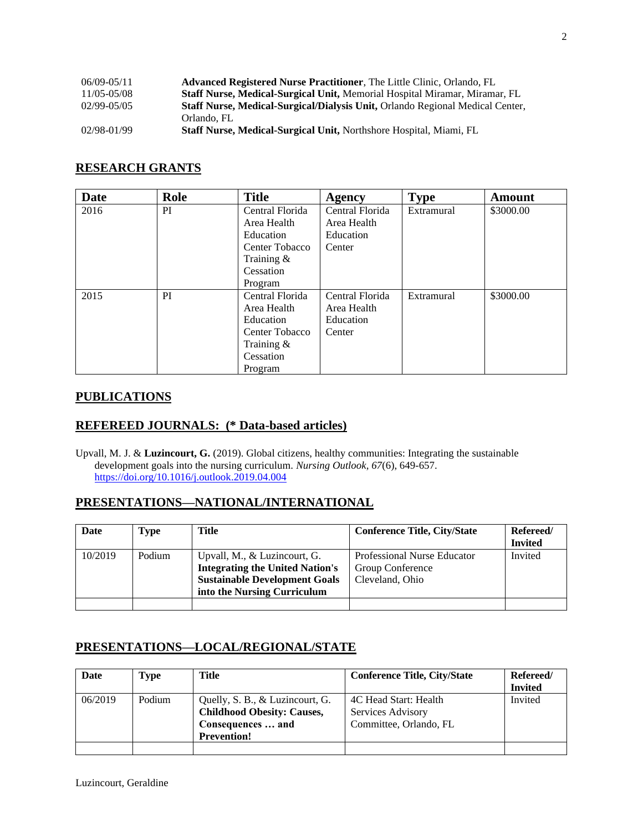| $06/09 - 05/11$ | <b>Advanced Registered Nurse Practitioner, The Little Clinic, Orlando, FL</b>        |
|-----------------|--------------------------------------------------------------------------------------|
| 11/05-05/08     | <b>Staff Nurse, Medical-Surgical Unit, Memorial Hospital Miramar, Miramar, FL</b>    |
| $02/99 - 05/05$ | <b>Staff Nurse, Medical-Surgical/Dialysis Unit, Orlando Regional Medical Center,</b> |
|                 | Orlando, FL                                                                          |
| 02/98-01/99     | Staff Nurse, Medical-Surgical Unit, Northshore Hospital, Miami, FL                   |

## **RESEARCH GRANTS**

| <b>Date</b> | Role | <b>Title</b>    | <b>Agency</b>   | <b>Type</b> | <b>Amount</b> |
|-------------|------|-----------------|-----------------|-------------|---------------|
| 2016        | PI   | Central Florida | Central Florida | Extramural  | \$3000.00     |
|             |      | Area Health     | Area Health     |             |               |
|             |      | Education       | Education       |             |               |
|             |      | Center Tobacco  | Center          |             |               |
|             |      | Training $\&$   |                 |             |               |
|             |      | Cessation       |                 |             |               |
|             |      | Program         |                 |             |               |
| 2015        | PI   | Central Florida | Central Florida | Extramural  | \$3000.00     |
|             |      | Area Health     | Area Health     |             |               |
|             |      | Education       | Education       |             |               |
|             |      | Center Tobacco  | Center          |             |               |
|             |      | Training $\&$   |                 |             |               |
|             |      | Cessation       |                 |             |               |
|             |      | Program         |                 |             |               |

#### **PUBLICATIONS**

### **REFEREED JOURNALS: (\* Data-based articles)**

Upvall, M. J. & **Luzincourt, G.** (2019). Global citizens, healthy communities: Integrating the sustainable development goals into the nursing curriculum. *Nursing Outlook, 67*(6), 649-657. <https://doi.org/10.1016/j.outlook.2019.04.004>

#### **PRESENTATIONS—NATIONAL/INTERNATIONAL**

| Date    | <b>Type</b> | Title                                                                                                                                         | <b>Conference Title, City/State</b>                                | Refereed/<br><b>Invited</b> |
|---------|-------------|-----------------------------------------------------------------------------------------------------------------------------------------------|--------------------------------------------------------------------|-----------------------------|
| 10/2019 | Podium      | Upvall, M., & Luzincourt, G.<br><b>Integrating the United Nation's</b><br><b>Sustainable Development Goals</b><br>into the Nursing Curriculum | Professional Nurse Educator<br>Group Conference<br>Cleveland, Ohio | Invited                     |
|         |             |                                                                                                                                               |                                                                    |                             |

### **PRESENTATIONS—LOCAL/REGIONAL/STATE**

| Date    | Type   | Title                                                                                                           | <b>Conference Title, City/State</b>                                  | Refereed/<br><b>Invited</b> |
|---------|--------|-----------------------------------------------------------------------------------------------------------------|----------------------------------------------------------------------|-----------------------------|
| 06/2019 | Podium | Quelly, S. B., & Luzincourt, G.<br><b>Childhood Obesity: Causes,</b><br>Consequences  and<br><b>Prevention!</b> | 4C Head Start: Health<br>Services Advisory<br>Committee, Orlando, FL | Invited                     |
|         |        |                                                                                                                 |                                                                      |                             |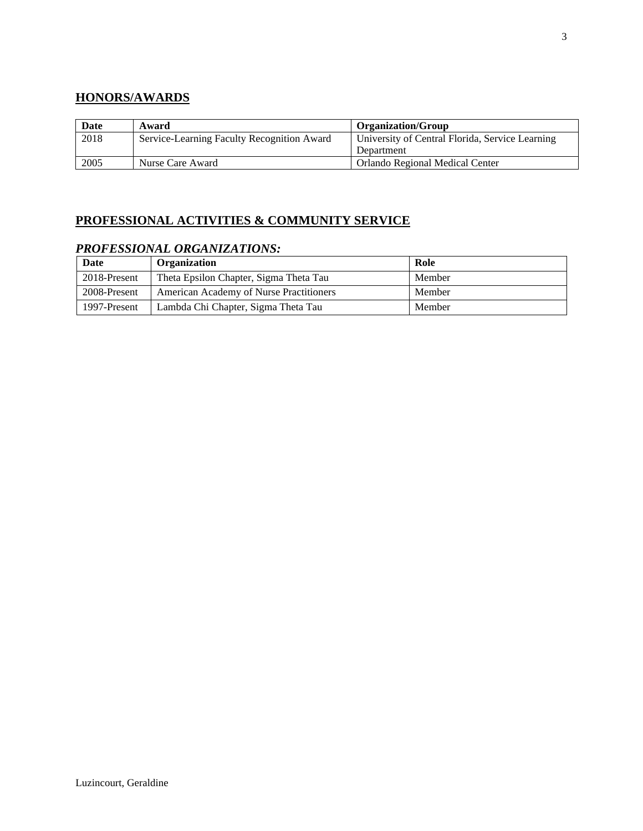## **HONORS/AWARDS**

| Date | Award                                      | <b>Organization/Group</b>                       |
|------|--------------------------------------------|-------------------------------------------------|
| 2018 | Service-Learning Faculty Recognition Award | University of Central Florida, Service Learning |
|      |                                            | Department                                      |
| 2005 | Nurse Care Award                           | Orlando Regional Medical Center                 |

# **PROFESSIONAL ACTIVITIES & COMMUNITY SERVICE**

## *PROFESSIONAL ORGANIZATIONS:*

| Date         | Organization                            | Role   |
|--------------|-----------------------------------------|--------|
| 2018-Present | Theta Epsilon Chapter, Sigma Theta Tau  | Member |
| 2008-Present | American Academy of Nurse Practitioners | Member |
| 1997-Present | Lambda Chi Chapter, Sigma Theta Tau     | Member |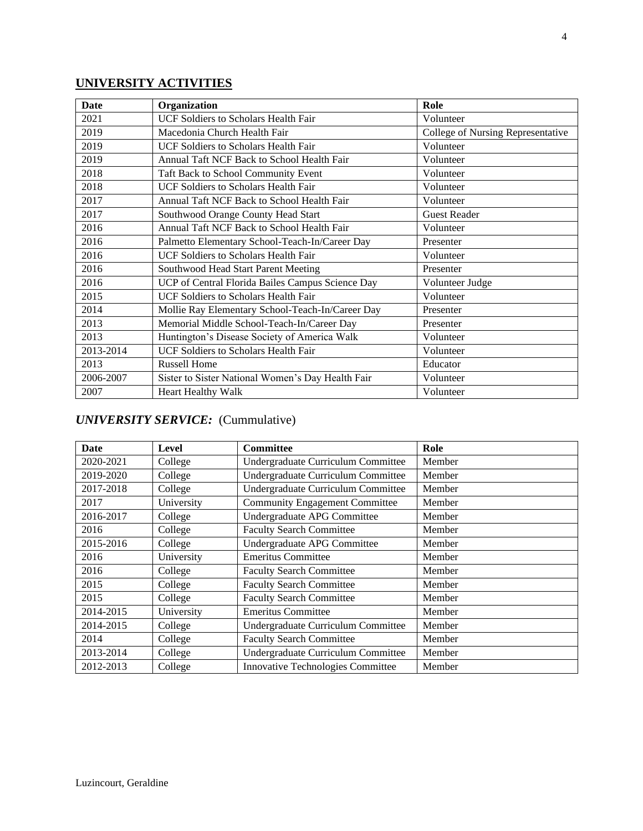# **UNIVERSITY ACTIVITIES**

| <b>Date</b> | Organization                                      | Role                              |
|-------------|---------------------------------------------------|-----------------------------------|
| 2021        | UCF Soldiers to Scholars Health Fair              | Volunteer                         |
| 2019        | Macedonia Church Health Fair                      | College of Nursing Representative |
| 2019        | <b>UCF Soldiers to Scholars Health Fair</b>       | Volunteer                         |
| 2019        | Annual Taft NCF Back to School Health Fair        | Volunteer                         |
| 2018        | Taft Back to School Community Event               | Volunteer                         |
| 2018        | <b>UCF Soldiers to Scholars Health Fair</b>       | Volunteer                         |
| 2017        | Annual Taft NCF Back to School Health Fair        | Volunteer                         |
| 2017        | Southwood Orange County Head Start                | <b>Guest Reader</b>               |
| 2016        | Annual Taft NCF Back to School Health Fair        | Volunteer                         |
| 2016        | Palmetto Elementary School-Teach-In/Career Day    | Presenter                         |
| 2016        | UCF Soldiers to Scholars Health Fair              | Volunteer                         |
| 2016        | Southwood Head Start Parent Meeting               | Presenter                         |
| 2016        | UCP of Central Florida Bailes Campus Science Day  | Volunteer Judge                   |
| 2015        | <b>UCF Soldiers to Scholars Health Fair</b>       | Volunteer                         |
| 2014        | Mollie Ray Elementary School-Teach-In/Career Day  | Presenter                         |
| 2013        | Memorial Middle School-Teach-In/Career Day        | Presenter                         |
| 2013        | Huntington's Disease Society of America Walk      | Volunteer                         |
| 2013-2014   | <b>UCF Soldiers to Scholars Health Fair</b>       | Volunteer                         |
| 2013        | <b>Russell Home</b>                               | Educator                          |
| 2006-2007   | Sister to Sister National Women's Day Health Fair | Volunteer                         |
| 2007        | Heart Healthy Walk                                | Volunteer                         |

## *UNIVERSITY SERVICE:* (Cummulative)

| Date      | Level      | <b>Committee</b>                      | Role   |
|-----------|------------|---------------------------------------|--------|
| 2020-2021 | College    | Undergraduate Curriculum Committee    | Member |
| 2019-2020 | College    | Undergraduate Curriculum Committee    | Member |
| 2017-2018 | College    | Undergraduate Curriculum Committee    | Member |
| 2017      | University | <b>Community Engagement Committee</b> | Member |
| 2016-2017 | College    | Undergraduate APG Committee           | Member |
| 2016      | College    | <b>Faculty Search Committee</b>       | Member |
| 2015-2016 | College    | Undergraduate APG Committee           | Member |
| 2016      | University | <b>Emeritus Committee</b>             | Member |
| 2016      | College    | <b>Faculty Search Committee</b>       | Member |
| 2015      | College    | <b>Faculty Search Committee</b>       | Member |
| 2015      | College    | <b>Faculty Search Committee</b>       | Member |
| 2014-2015 | University | <b>Emeritus Committee</b>             | Member |
| 2014-2015 | College    | Undergraduate Curriculum Committee    | Member |
| 2014      | College    | <b>Faculty Search Committee</b>       | Member |
| 2013-2014 | College    | Undergraduate Curriculum Committee    | Member |
| 2012-2013 | College    | Innovative Technologies Committee     | Member |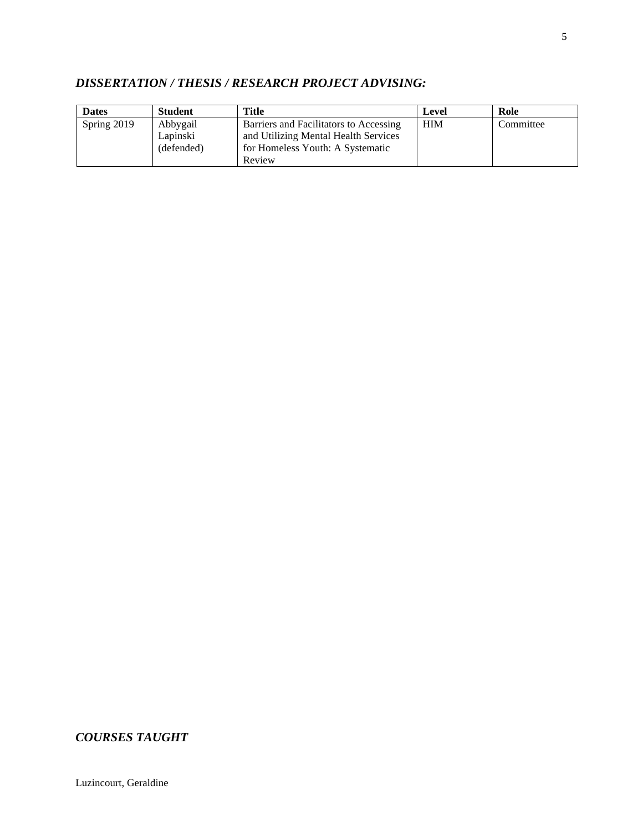# *DISSERTATION / THESIS / RESEARCH PROJECT ADVISING:*

| <b>Dates</b> | <b>Student</b> | Title                                  | Level      | Role      |
|--------------|----------------|----------------------------------------|------------|-----------|
| Spring 2019  | Abbygail       | Barriers and Facilitators to Accessing | <b>HIM</b> | Committee |
|              | Lapinski       | and Utilizing Mental Health Services   |            |           |
|              | (defended)     | for Homeless Youth: A Systematic       |            |           |
|              |                | Review                                 |            |           |

## *COURSES TAUGHT*

Luzincourt, Geraldine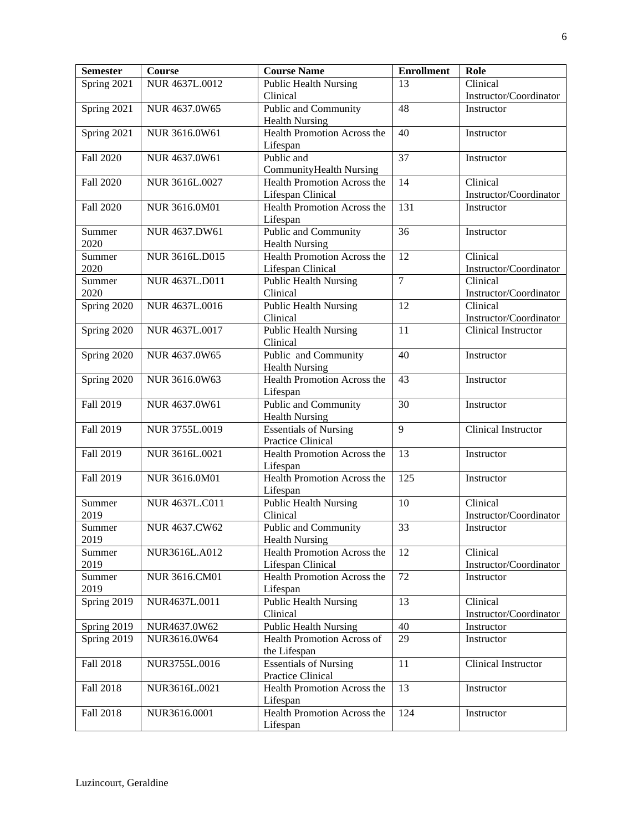| <b>Semester</b> | Course               | <b>Course Name</b>                                   | <b>Enrollment</b> | Role                   |
|-----------------|----------------------|------------------------------------------------------|-------------------|------------------------|
| Spring 2021     | NUR 4637L.0012       | <b>Public Health Nursing</b>                         | 13                | Clinical               |
|                 |                      | Clinical                                             |                   | Instructor/Coordinator |
| Spring 2021     | NUR 4637.0W65        | Public and Community                                 | 48                | Instructor             |
|                 |                      | <b>Health Nursing</b>                                |                   |                        |
| Spring 2021     | NUR 3616.0W61        | Health Promotion Across the                          | 40                | Instructor             |
|                 |                      | Lifespan                                             |                   |                        |
| Fall 2020       | NUR 4637.0W61        | Public and                                           | 37                | Instructor             |
|                 |                      | <b>CommunityHealth Nursing</b>                       |                   |                        |
| Fall 2020       | NUR 3616L.0027       | <b>Health Promotion Across the</b>                   | 14                | Clinical               |
|                 |                      | Lifespan Clinical                                    |                   | Instructor/Coordinator |
| Fall 2020       | NUR 3616.0M01        | Health Promotion Across the                          | 131               | Instructor             |
|                 | NUR 4637.DW61        | Lifespan<br><b>Public and Community</b>              | $\overline{36}$   |                        |
| Summer<br>2020  |                      | <b>Health Nursing</b>                                |                   | Instructor             |
| Summer          | NUR 3616L.D015       | Health Promotion Across the                          | 12                | Clinical               |
| 2020            |                      | Lifespan Clinical                                    |                   | Instructor/Coordinator |
| Summer          | NUR 4637L.D011       | <b>Public Health Nursing</b>                         | $\overline{7}$    | Clinical               |
| 2020            |                      | Clinical                                             |                   | Instructor/Coordinator |
| Spring 2020     | NUR 4637L.0016       | <b>Public Health Nursing</b>                         | 12                | Clinical               |
|                 |                      | Clinical                                             |                   | Instructor/Coordinator |
| Spring 2020     | NUR 4637L.0017       | <b>Public Health Nursing</b>                         | 11                | Clinical Instructor    |
|                 |                      | Clinical                                             |                   |                        |
| Spring 2020     | NUR 4637.0W65        | Public and Community                                 | 40                | Instructor             |
|                 |                      | <b>Health Nursing</b>                                |                   |                        |
| Spring 2020     | NUR 3616.0W63        | Health Promotion Across the                          | 43                | Instructor             |
|                 |                      | Lifespan                                             |                   |                        |
| Fall 2019       | NUR 4637.0W61        | Public and Community                                 | 30                | Instructor             |
|                 |                      | <b>Health Nursing</b>                                |                   |                        |
| Fall 2019       | NUR 3755L.0019       | <b>Essentials of Nursing</b>                         | 9                 | Clinical Instructor    |
|                 |                      | <b>Practice Clinical</b>                             |                   |                        |
| Fall 2019       | NUR 3616L.0021       | Health Promotion Across the                          | 13                | Instructor             |
|                 |                      | Lifespan                                             |                   |                        |
| Fall 2019       | NUR 3616.0M01        | Health Promotion Across the                          | 125               | Instructor             |
|                 |                      | Lifespan                                             |                   |                        |
| Summer          | NUR 4637L.C011       | <b>Public Health Nursing</b>                         | 10                | Clinical               |
| 2019            |                      | Clinical                                             | $\overline{33}$   | Instructor/Coordinator |
| Summer<br>2019  | <b>NUR 4637.CW62</b> | <b>Public and Community</b>                          |                   | Instructor             |
| Summer          | NUR3616L.A012        | <b>Health Nursing</b><br>Health Promotion Across the | 12                | Clinical               |
| 2019            |                      | Lifespan Clinical                                    |                   | Instructor/Coordinator |
| Summer          | NUR 3616.CM01        | Health Promotion Across the                          | 72                | Instructor             |
| 2019            |                      | Lifespan                                             |                   |                        |
| Spring 2019     | NUR4637L.0011        | Public Health Nursing                                | 13                | Clinical               |
|                 |                      | Clinical                                             |                   | Instructor/Coordinator |
| Spring 2019     | NUR4637.0W62         | <b>Public Health Nursing</b>                         | 40                | Instructor             |
| Spring 2019     | NUR3616.0W64         | Health Promotion Across of                           | 29                | Instructor             |
|                 |                      | the Lifespan                                         |                   |                        |
| Fall 2018       | NUR3755L.0016        | <b>Essentials of Nursing</b>                         | 11                | Clinical Instructor    |
|                 |                      | Practice Clinical                                    |                   |                        |
| Fall 2018       | NUR3616L.0021        | Health Promotion Across the                          | 13                | Instructor             |
|                 |                      | Lifespan                                             |                   |                        |
| Fall 2018       | NUR3616.0001         | Health Promotion Across the                          | 124               | Instructor             |
|                 |                      | Lifespan                                             |                   |                        |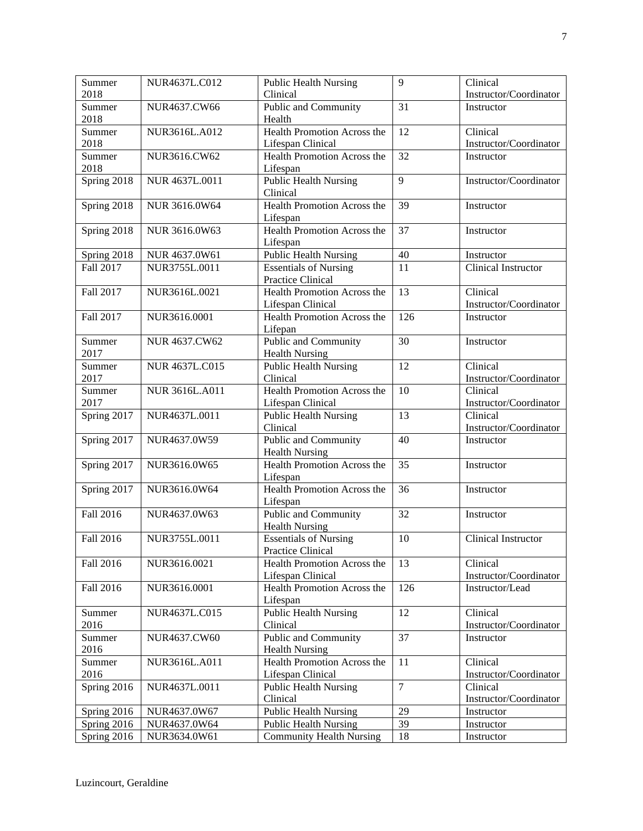| Summer<br>2018 | NUR4637L.C012         | <b>Public Health Nursing</b>                     | 9               | Clinical<br>Instructor/Coordinator |
|----------------|-----------------------|--------------------------------------------------|-----------------|------------------------------------|
|                |                       | Clinical                                         |                 |                                    |
| Summer<br>2018 | NUR4637.CW66          | Public and Community<br>Health                   | 31              | Instructor                         |
| Summer<br>2018 | NUR3616L.A012         | Health Promotion Across the<br>Lifespan Clinical | 12              | Clinical<br>Instructor/Coordinator |
| Summer         |                       | Health Promotion Across the                      | $\overline{32}$ |                                    |
| 2018           | NUR3616.CW62          | Lifespan                                         |                 | Instructor                         |
| Spring 2018    | NUR 4637L.0011        | <b>Public Health Nursing</b>                     | 9               | Instructor/Coordinator             |
|                |                       | Clinical                                         |                 |                                    |
| Spring 2018    | NUR 3616.0W64         | Health Promotion Across the<br>Lifespan          | 39              | Instructor                         |
| Spring 2018    | NUR 3616.0W63         | <b>Health Promotion Across the</b>               | $\overline{37}$ | Instructor                         |
|                |                       | Lifespan                                         |                 |                                    |
| Spring 2018    | NUR 4637.0W61         | <b>Public Health Nursing</b>                     | 40              | Instructor                         |
| Fall 2017      | NUR3755L.0011         | <b>Essentials of Nursing</b>                     | 11              | Clinical Instructor                |
|                |                       | Practice Clinical                                |                 |                                    |
| Fall 2017      | NUR3616L.0021         | Health Promotion Across the                      | 13              | Clinical                           |
|                |                       | Lifespan Clinical                                |                 | Instructor/Coordinator             |
| Fall 2017      | NUR3616.0001          | Health Promotion Across the<br>Lifepan           | 126             | Instructor                         |
| Summer         | NUR 4637.CW62         | Public and Community                             | 30              | Instructor                         |
| 2017           |                       | <b>Health Nursing</b>                            |                 |                                    |
| Summer         | <b>NUR 4637L.C015</b> | <b>Public Health Nursing</b>                     | 12              | Clinical                           |
| 2017           |                       | Clinical                                         |                 | Instructor/Coordinator             |
| Summer         | NUR 3616L.A011        | Health Promotion Across the                      | 10              | Clinical                           |
| 2017           |                       | Lifespan Clinical                                |                 | Instructor/Coordinator             |
| Spring 2017    | NUR4637L.0011         | <b>Public Health Nursing</b><br>Clinical         | 13              | Clinical<br>Instructor/Coordinator |
| Spring 2017    | NUR4637.0W59          | Public and Community                             | 40              | Instructor                         |
|                |                       | <b>Health Nursing</b>                            |                 |                                    |
| Spring 2017    | NUR3616.0W65          | Health Promotion Across the                      | 35              | Instructor                         |
|                |                       | Lifespan                                         |                 |                                    |
| Spring 2017    | NUR3616.0W64          | Health Promotion Across the                      | 36              | Instructor                         |
|                |                       | Lifespan                                         |                 |                                    |
| Fall 2016      | NUR4637.0W63          | Public and Community                             | 32              | Instructor                         |
|                |                       | <b>Health Nursing</b>                            |                 |                                    |
| Fall 2016      | NUR3755L.0011         | <b>Essentials of Nursing</b>                     | 10              | Clinical Instructor                |
|                |                       | Practice Clinical                                |                 |                                    |
| Fall 2016      | NUR3616.0021          | Health Promotion Across the                      | 13              | Clinical                           |
|                |                       | Lifespan Clinical                                |                 | Instructor/Coordinator             |
| Fall 2016      | NUR3616.0001          | Health Promotion Across the<br>Lifespan          | 126             | Instructor/Lead                    |
| Summer         | NUR4637L.C015         | Public Health Nursing                            | 12              | Clinical                           |
| 2016           |                       | Clinical                                         |                 | Instructor/Coordinator             |
| Summer         | NUR4637.CW60          | Public and Community                             | 37              | Instructor                         |
| 2016           |                       | <b>Health Nursing</b>                            |                 |                                    |
| Summer         | NUR3616L.A011         | Health Promotion Across the                      | 11              | Clinical                           |
| 2016           |                       | Lifespan Clinical                                |                 | Instructor/Coordinator             |
| Spring 2016    | NUR4637L.0011         | <b>Public Health Nursing</b>                     | $\overline{7}$  | Clinical                           |
|                |                       | Clinical                                         |                 | Instructor/Coordinator             |
| Spring 2016    | NUR4637.0W67          | <b>Public Health Nursing</b>                     | 29              | Instructor                         |
| Spring 2016    | NUR4637.0W64          | <b>Public Health Nursing</b>                     | 39              | Instructor                         |
| Spring 2016    | NUR3634.0W61          | <b>Community Health Nursing</b>                  | 18              | Instructor                         |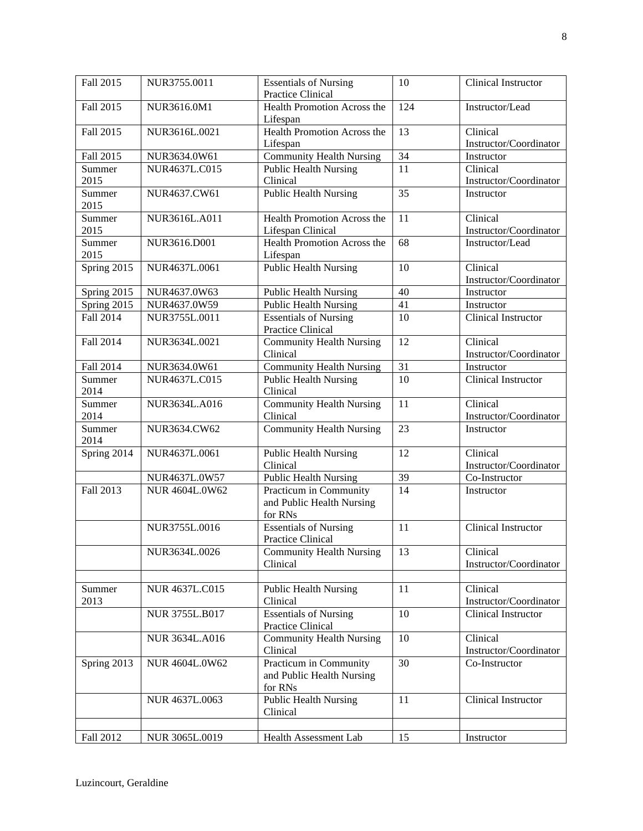| Fall 2015      | NUR3755.0011          | <b>Essentials of Nursing</b><br><b>Practice Clinical</b>       | 10              | Clinical Instructor                |
|----------------|-----------------------|----------------------------------------------------------------|-----------------|------------------------------------|
| Fall 2015      | NUR3616.0M1           | Health Promotion Across the<br>Lifespan                        | 124             | Instructor/Lead                    |
| Fall 2015      | NUR3616L.0021         | Health Promotion Across the<br>Lifespan                        | 13              | Clinical<br>Instructor/Coordinator |
| Fall 2015      | NUR3634.0W61          | <b>Community Health Nursing</b>                                | $\overline{34}$ | Instructor                         |
| Summer         | NUR4637L.C015         | <b>Public Health Nursing</b>                                   | 11              | Clinical                           |
| 2015           |                       | Clinical                                                       |                 | Instructor/Coordinator             |
| Summer<br>2015 | NUR4637.CW61          | <b>Public Health Nursing</b>                                   | 35              | Instructor                         |
| Summer<br>2015 | NUR3616L.A011         | Health Promotion Across the<br>Lifespan Clinical               | 11              | Clinical<br>Instructor/Coordinator |
| Summer<br>2015 | NUR3616.D001          | Health Promotion Across the<br>Lifespan                        | 68              | Instructor/Lead                    |
| Spring 2015    | NUR4637L.0061         | <b>Public Health Nursing</b>                                   | 10              | Clinical<br>Instructor/Coordinator |
| Spring 2015    | NUR4637.0W63          | <b>Public Health Nursing</b>                                   | 40              | Instructor                         |
| Spring 2015    | NUR4637.0W59          | <b>Public Health Nursing</b>                                   | 41              | Instructor                         |
| Fall 2014      | NUR3755L.0011         | <b>Essentials of Nursing</b><br><b>Practice Clinical</b>       | 10              | <b>Clinical Instructor</b>         |
| Fall 2014      | NUR3634L.0021         | <b>Community Health Nursing</b><br>Clinical                    | 12              | Clinical<br>Instructor/Coordinator |
| Fall 2014      | NUR3634.0W61          | <b>Community Health Nursing</b>                                | 31              | Instructor                         |
| Summer<br>2014 | NUR4637L.C015         | <b>Public Health Nursing</b><br>Clinical                       | 10              | Clinical Instructor                |
| Summer<br>2014 | NUR3634L.A016         | <b>Community Health Nursing</b><br>Clinical                    | 11              | Clinical<br>Instructor/Coordinator |
| Summer<br>2014 | NUR3634.CW62          | <b>Community Health Nursing</b>                                | 23              | Instructor                         |
| Spring 2014    | NUR4637L.0061         | <b>Public Health Nursing</b><br>Clinical                       | 12              | Clinical<br>Instructor/Coordinator |
|                | NUR4637L.0W57         | <b>Public Health Nursing</b>                                   | 39              | Co-Instructor                      |
| Fall 2013      | <b>NUR 4604L.0W62</b> | Practicum in Community<br>and Public Health Nursing<br>for RNs | 14              | Instructor                         |
|                | NUR3755L.0016         | <b>Essentials of Nursing</b><br>Practice Clinical              | 11              | Clinical Instructor                |
|                | NUR3634L.0026         | <b>Community Health Nursing</b><br>Clinical                    | 13              | Clinical<br>Instructor/Coordinator |
| Summer<br>2013 | NUR 4637L.C015        | <b>Public Health Nursing</b><br>Clinical                       | 11              | Clinical<br>Instructor/Coordinator |
|                | NUR 3755L.B017        | <b>Essentials of Nursing</b><br><b>Practice Clinical</b>       | 10              | Clinical Instructor                |
|                | <b>NUR 3634L.A016</b> | <b>Community Health Nursing</b><br>Clinical                    | 10              | Clinical<br>Instructor/Coordinator |
| Spring 2013    | NUR 4604L.0W62        | Practicum in Community<br>and Public Health Nursing<br>for RNs | 30              | Co-Instructor                      |
|                | NUR 4637L.0063        | <b>Public Health Nursing</b><br>Clinical                       | 11              | Clinical Instructor                |
|                |                       |                                                                |                 |                                    |
| Fall 2012      | NUR 3065L.0019        | Health Assessment Lab                                          | 15              | Instructor                         |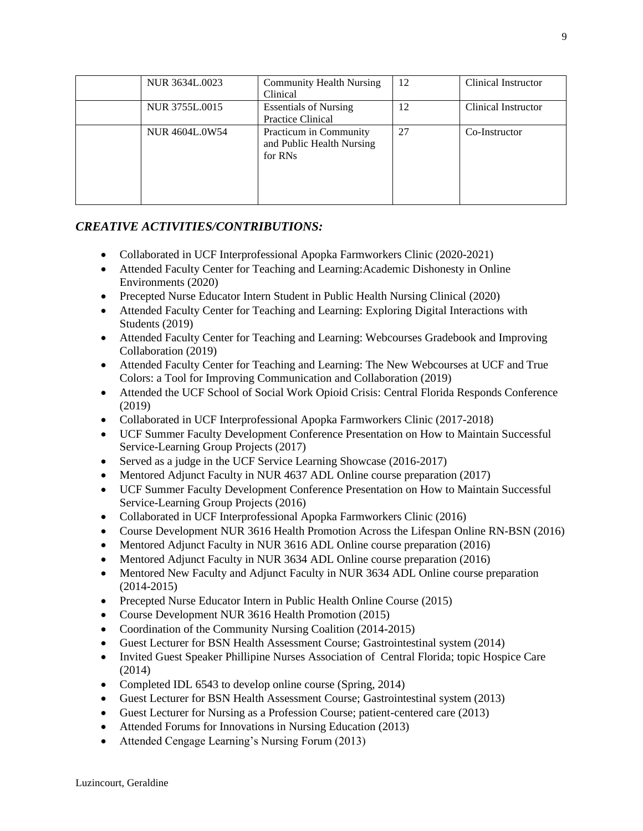| NUR 3634L,0023 | <b>Community Health Nursing</b><br>Clinical                    | 12 | Clinical Instructor |
|----------------|----------------------------------------------------------------|----|---------------------|
| NUR 3755L.0015 | <b>Essentials of Nursing</b><br><b>Practice Clinical</b>       | 12 | Clinical Instructor |
| NUR 4604L.0W54 | Practicum in Community<br>and Public Health Nursing<br>for RNs | 27 | Co-Instructor       |

### *CREATIVE ACTIVITIES/CONTRIBUTIONS:*

- Collaborated in UCF Interprofessional Apopka Farmworkers Clinic (2020-2021)
- Attended Faculty Center for Teaching and Learning: Academic Dishonesty in Online Environments (2020)
- Precepted Nurse Educator Intern Student in Public Health Nursing Clinical (2020)
- Attended Faculty Center for Teaching and Learning: Exploring Digital Interactions with Students (2019)
- Attended Faculty Center for Teaching and Learning: Webcourses Gradebook and Improving Collaboration (2019)
- Attended Faculty Center for Teaching and Learning: The New Webcourses at UCF and True Colors: a Tool for Improving Communication and Collaboration (2019)
- Attended the UCF School of Social Work Opioid Crisis: Central Florida Responds Conference (2019)
- Collaborated in UCF Interprofessional Apopka Farmworkers Clinic (2017-2018)
- UCF Summer Faculty Development Conference Presentation on How to Maintain Successful Service-Learning Group Projects (2017)
- Served as a judge in the UCF Service Learning Showcase (2016-2017)
- Mentored Adjunct Faculty in NUR 4637 ADL Online course preparation (2017)
- UCF Summer Faculty Development Conference Presentation on How to Maintain Successful Service-Learning Group Projects (2016)
- Collaborated in UCF Interprofessional Apopka Farmworkers Clinic (2016)
- Course Development NUR 3616 Health Promotion Across the Lifespan Online RN-BSN (2016)
- Mentored Adjunct Faculty in NUR 3616 ADL Online course preparation (2016)
- Mentored Adjunct Faculty in NUR 3634 ADL Online course preparation (2016)
- Mentored New Faculty and Adjunct Faculty in NUR 3634 ADL Online course preparation (2014-2015)
- Precepted Nurse Educator Intern in Public Health Online Course (2015)
- Course Development NUR 3616 Health Promotion (2015)
- Coordination of the Community Nursing Coalition (2014-2015)
- Guest Lecturer for BSN Health Assessment Course; Gastrointestinal system (2014)
- Invited Guest Speaker Phillipine Nurses Association of Central Florida; topic Hospice Care (2014)
- Completed IDL 6543 to develop online course (Spring, 2014)
- Guest Lecturer for BSN Health Assessment Course; Gastrointestinal system (2013)
- Guest Lecturer for Nursing as a Profession Course; patient-centered care (2013)
- Attended Forums for Innovations in Nursing Education (2013)
- Attended Cengage Learning's Nursing Forum (2013)